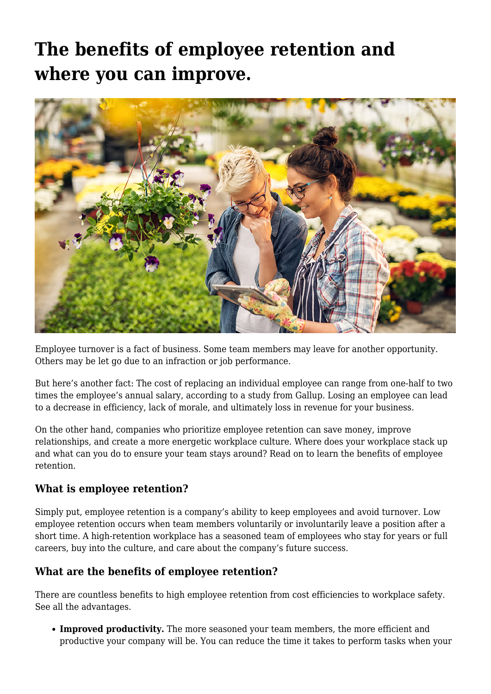## **[The benefits of employee retention and](https://www.fmins.com/blog/benefits-of-employee-retention/) [where you can improve.](https://www.fmins.com/blog/benefits-of-employee-retention/)**



Employee turnover is a fact of business. Some team members may leave for another opportunity. Others may be let go due to an infraction or job performance.

But here's another fact: The [cost of replacing an individual employee](https://www.gallup.com/workplace/247391/fixable-problem-costs-businesses-trillion.aspx) can range from one-half to two times the employee's annual salary, according to a study from Gallup. Losing an employee can lead to a decrease in efficiency, lack of morale, and ultimately loss in revenue for your business.

On the other hand, companies who prioritize employee retention can save money, improve relationships, and create a more energetic workplace culture. Where does your workplace stack up and what can you do to ensure your team stays around? Read on to learn the benefits of employee retention.

## **What is employee retention?**

Simply put, employee retention is a company's ability to keep employees and avoid turnover. Low employee retention occurs when team members voluntarily or involuntarily leave a position after a short time. A high-retention workplace has a seasoned team of employees who stay for years or full careers, buy into the culture, and care about the company's future success.

## **What are the benefits of employee retention?**

There are countless benefits to high employee retention from cost efficiencies to workplace safety. See all the advantages.

**Improved productivity.** The more seasoned your team members, the more efficient and productive your company will be. You can reduce the time it takes to perform tasks when your